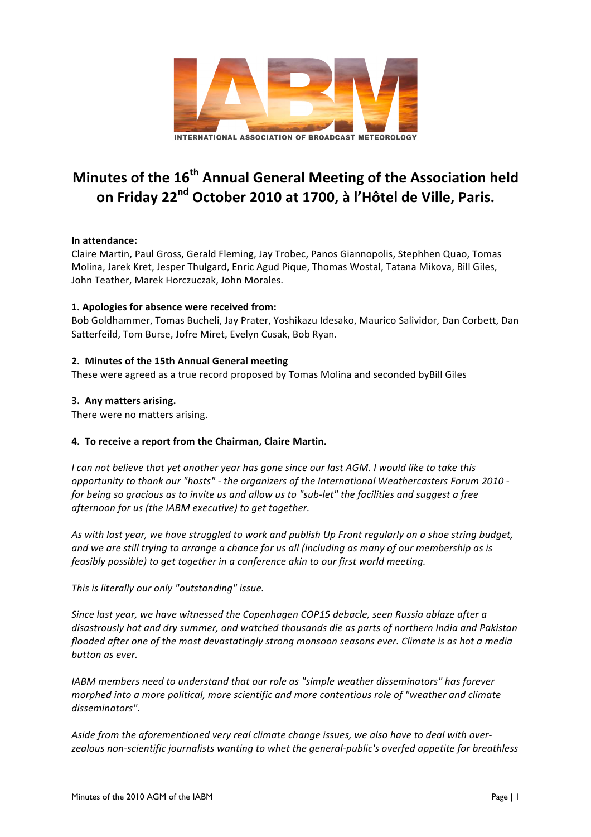

# **Minutes of the 16<sup>th</sup> Annual General Meeting of the Association held** on Friday 22<sup>nd</sup> October 2010 at 1700, à l'Hôtel de Ville, Paris.

# **In attendance:**

Claire Martin, Paul Gross, Gerald Fleming, Jay Trobec, Panos Giannopolis, Stephhen Quao, Tomas Molina, Jarek Kret, Jesper Thulgard, Enric Agud Pique, Thomas Wostal, Tatana Mikova, Bill Giles, John Teather, Marek Horczuczak, John Morales.

# **1. Apologies for absence were received from:**

Bob Goldhammer, Tomas Bucheli, Jay Prater, Yoshikazu Idesako, Maurico Salividor, Dan Corbett, Dan Satterfeild, Tom Burse, Jofre Miret, Evelyn Cusak, Bob Ryan.

# **2. Minutes of the 15th Annual General meeting**

These were agreed as a true record proposed by Tomas Molina and seconded byBill Giles

# **3. Any matters arising.**

There were no matters arising.

# **4. To receive a report from the Chairman, Claire Martin.**

*I* can not believe that yet another year has gone since our last AGM. I would like to take this *opportunity to thank our "hosts"* - *the organizers of the International Weathercasters Forum 2010 for being so gracious as to invite us and allow us to "sub-let" the facilities and suggest a free afternoon for us (the IABM executive)* to get together.

As with last year, we have struggled to work and publish Up Front regularly on a shoe string budget, and we are still trying to arrange a chance for us all (including as many of our membership as is *feasibly possible)* to get together in a conference akin to our first world meeting.

This is literally our only "outstanding" issue.

*Since last year, we have witnessed the Copenhagen COP15 debacle, seen Russia ablaze after a* disastrously hot and dry summer, and watched thousands die as parts of northern India and Pakistan *flooded after one of the most devastatingly strong monsoon seasons ever. Climate is as hot a media button as ever.*

*IABM* members need to understand that our role as "simple weather disseminators" has forever *morphed into a more political, more scientific and more contentious role of "weather and climate* disseminators".

Aside from the aforementioned very real climate change issues, we also have to deal with overzealous non-scientific journalists wanting to whet the general-public's overfed appetite for breathless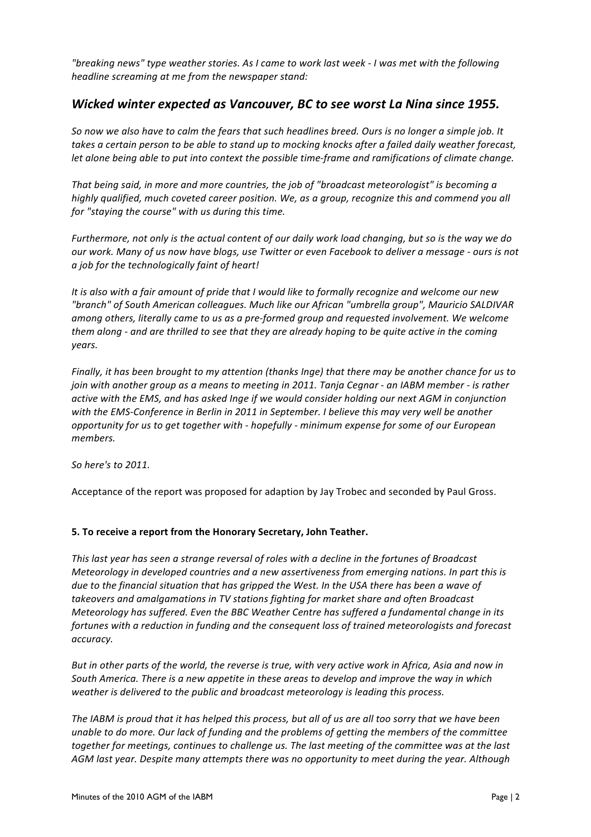*"breaking news" type weather stories. As I came to work last week - I was met with the following headline screaming at me from the newspaper stand:* 

# *Wicked* winter expected as Vancouver, BC to see worst La Nina since 1955.

So now we also have to calm the fears that such headlines breed. Ours is no longer a simple job. It takes a certain person to be able to stand up to mocking knocks after a failed daily weather forecast, *let alone being able to put into context the possible time-frame and ramifications of climate change.* 

That being said, in more and more countries, the job of "broadcast meteorologist" is becoming a *highly* qualified, much coveted career position. We, as a group, recognize this and commend you all for "staying the course" with us during this time.

*Furthermore, not only is the actual content of our daily work load changing, but so is the way we do our* work. Many of us now have blogs, use Twitter or even Facebook to deliver a message - ours is not *a* job for the technologically faint of heart!

It is also with a fair amount of pride that I would like to formally recognize and welcome our new *"branch" of South American colleagues. Much like our African "umbrella group", Mauricio SALDIVAR*  among others, literally came to us as a pre-formed group and requested involvement. We welcome *them* along - and are thrilled to see that they are already hoping to be quite active in the coming *years.*

*Finally, it has been brought to my attention (thanks Inge)* that there may be another chance for us to *join* with another group as a means to meeting in 2011. Tanja Cegnar - an IABM member - is rather active with the EMS, and has asked Inge if we would consider holding our next AGM in conjunction with the EMS-Conference in Berlin in 2011 in September. I believe this may very well be another *opportunity for us to get together with - hopefully - minimum expense for some of our European members.*

*So here's to 2011.*

Acceptance of the report was proposed for adaption by Jay Trobec and seconded by Paul Gross.

### **5. To receive a report from the Honorary Secretary, John Teather.**

This last year has seen a strange reversal of roles with a decline in the fortunes of Broadcast *Meteorology in developed countries and a new assertiveness from emerging nations. In part this is due* to the financial situation that has gripped the West. In the USA there has been a wave of takeovers and amalgamations in TV stations fighting for market share and often Broadcast *Meteorology has suffered. Even the BBC Weather Centre has suffered a fundamental change in its* fortunes with a reduction in funding and the consequent loss of trained meteorologists and forecast *accuracy.* 

*But in other parts of the world, the reverse is true, with very active work in Africa, Asia and now in* South America. There is a new appetite in these areas to develop and improve the way in which weather is delivered to the public and broadcast meteorology is leading this process.

The IABM is proud that it has helped this process, but all of us are all too sorry that we have been *unable to do more. Our lack of funding and the problems of getting the members of the committee* together for meetings, continues to challenge us. The last meeting of the committee was at the last *AGM* last year. Despite many attempts there was no opportunity to meet during the year. Although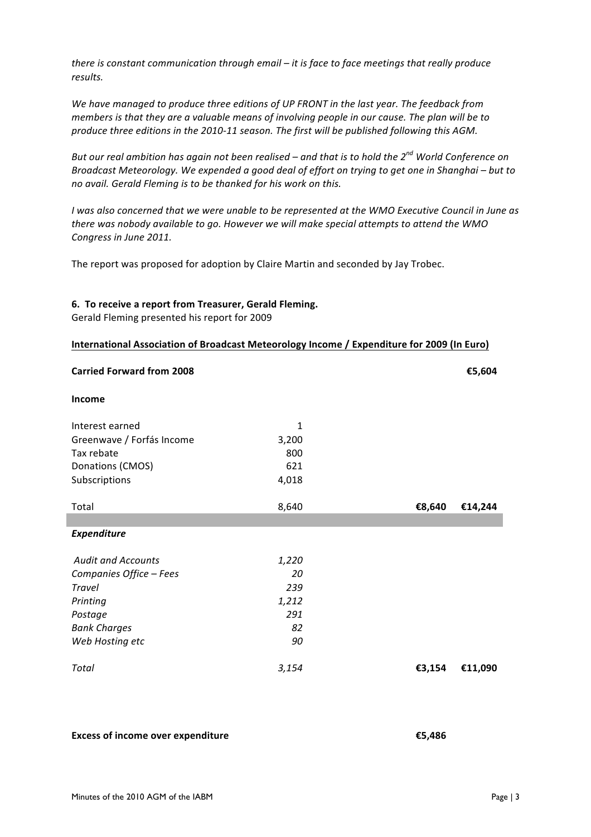*there is constant communication through email – it is face to face meetings that really produce results.* 

We have managed to produce three editions of UP FRONT in the last year. The feedback from *members* is that they are a valuable means of involving people in our cause. The plan will be to produce three editions in the 2010-11 season. The first will be published following this AGM.

*But* our real ambition has again not been realised – and that is to hold the 2<sup>nd</sup> World Conference on *Broadcast Meteorology.* We expended a good deal of effort on trying to get one in Shanghai – but to no avail. Gerald Flemina is to be thanked for his work on this.

*I* was also concerned that we were unable to be represented at the WMO Executive Council in June as there was nobody available to go. However we will make special attempts to attend the WMO Congress in June 2011.

The report was proposed for adoption by Claire Martin and seconded by Jay Trobec.

#### **6.** To receive a report from Treasurer, Gerald Fleming.

Gerald Fleming presented his report for 2009

|  | International Association of Broadcast Meteorology Income / Expenditure for 2009 (In Euro) |  |  |  |
|--|--------------------------------------------------------------------------------------------|--|--|--|
|--|--------------------------------------------------------------------------------------------|--|--|--|

| <b>Carried Forward from 2008</b> |       |        | €5,604  |
|----------------------------------|-------|--------|---------|
| Income                           |       |        |         |
| Interest earned                  | 1     |        |         |
| Greenwave / Forfás Income        | 3,200 |        |         |
| Tax rebate                       | 800   |        |         |
| Donations (CMOS)                 | 621   |        |         |
| Subscriptions                    | 4,018 |        |         |
|                                  |       |        |         |
| Total                            | 8,640 | €8,640 | €14,244 |
|                                  |       |        |         |
| <b>Expenditure</b>               |       |        |         |
|                                  |       |        |         |
| <b>Audit and Accounts</b>        | 1,220 |        |         |
| Companies Office - Fees          | 20    |        |         |
| <b>Travel</b>                    | 239   |        |         |
| Printing                         | 1,212 |        |         |
| Postage                          | 291   |        |         |
| <b>Bank Charges</b>              | 82    |        |         |
| Web Hosting etc                  | 90    |        |         |
|                                  |       |        |         |
| Total                            | 3,154 | €3,154 | €11,090 |

**Excess of income over expenditure €5,486**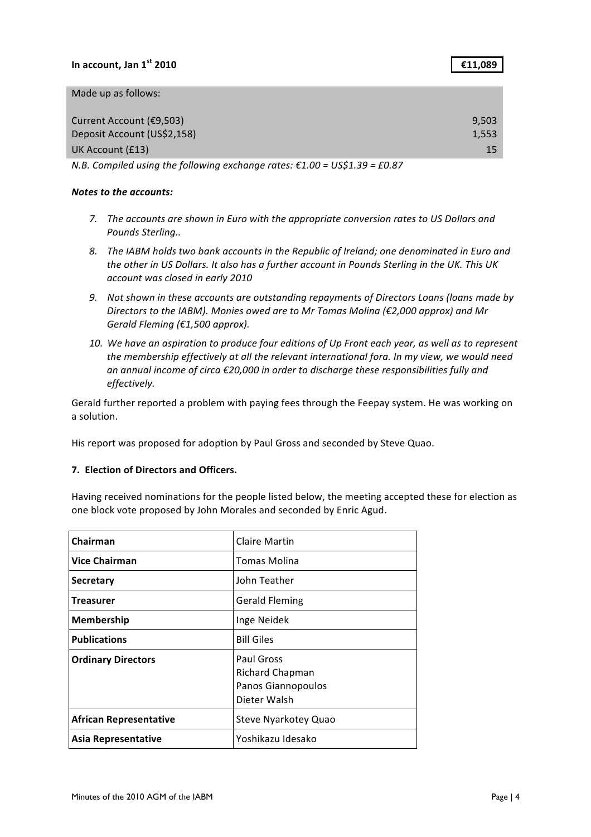# In account,  $\text{Jan 1}^{\text{st}}$  **2010 E11,089**

| Made up as follows: |  |  |  |  |  |
|---------------------|--|--|--|--|--|
|---------------------|--|--|--|--|--|

| Current Account (€9,503)    | 9.503 |
|-----------------------------|-------|
| Deposit Account (US\$2,158) | 1.553 |
| UK Account (£13)            | 15    |
|                             |       |

*N.B.* Compiled using the following exchange rates: €1.00 = US\$1.39 = £0.87

#### **Notes to the accounts:**

- 7. The accounts are shown in Euro with the appropriate conversion rates to US Dollars and *Pounds Sterling..*
- 8. The IABM holds two bank accounts in the Republic of Ireland; one denominated in Euro and the other in US Dollars. It also has a further account in Pounds Sterling in the UK. This UK *account was closed in early 2010*
- 9. Not shown in these accounts are outstanding repayments of Directors Loans (loans made by *Directors to the IABM). Monies owed are to Mr Tomas Molina (€2,000 approx) and Mr* Gerald Fleming (€1,500 approx).
- 10. We have an aspiration to produce four editions of Up Front each year, as well as to represent the membership effectively at all the relevant international fora. In my view, we would need an annual income of circa €20,000 in order to discharge these responsibilities fully and *effectively.*

Gerald further reported a problem with paying fees through the Feepay system. He was working on a solution.

His report was proposed for adoption by Paul Gross and seconded by Steve Quao.

### **7. Election of Directors and Officers.**

Having received nominations for the people listed below, the meeting accepted these for election as one block vote proposed by John Morales and seconded by Enric Agud.

| Chairman                      | Claire Martin                                                              |
|-------------------------------|----------------------------------------------------------------------------|
| <b>Vice Chairman</b>          | <b>Tomas Molina</b>                                                        |
| Secretary                     | John Teather                                                               |
| <b>Treasurer</b>              | <b>Gerald Fleming</b>                                                      |
| <b>Membership</b>             | Inge Neidek                                                                |
| <b>Publications</b>           | <b>Bill Giles</b>                                                          |
| <b>Ordinary Directors</b>     | Paul Gross<br><b>Richard Chapman</b><br>Panos Giannopoulos<br>Dieter Walsh |
| <b>African Representative</b> | Steve Nyarkotey Quao                                                       |
| Asia Representative           | Yoshikazu Idesako                                                          |